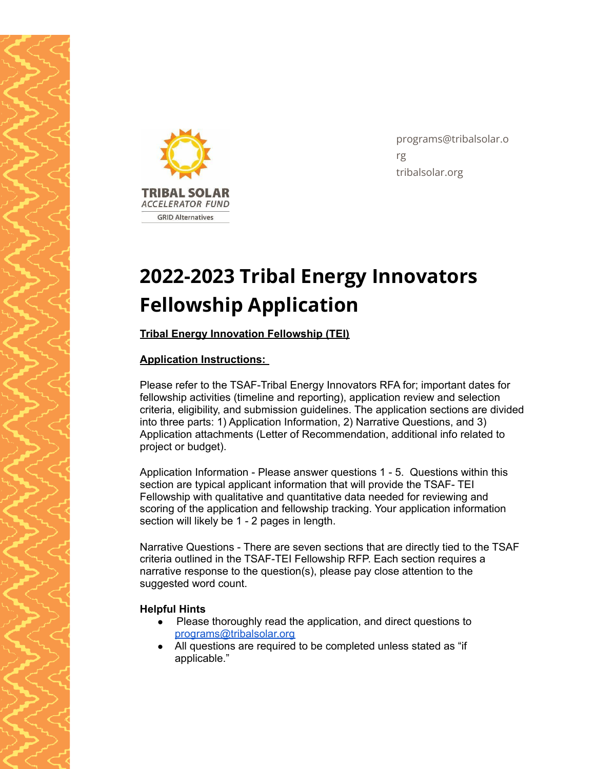



programs@tribalsolar.o rg tribalsolar.org

# **2022-2023 Tribal Energy Innovators Fellowship Application**

**Tribal Energy Innovation Fellowship (TEI)**

# **Application Instructions:**

Please refer to the TSAF-Tribal Energy Innovators RFA for; important dates for fellowship activities (timeline and reporting), application review and selection criteria, eligibility, and submission guidelines. The application sections are divided into three parts: 1) Application Information, 2) Narrative Questions, and 3) Application attachments (Letter of Recommendation, additional info related to project or budget).

Application Information - Please answer questions 1 - 5. Questions within this section are typical applicant information that will provide the TSAF- TEI Fellowship with qualitative and quantitative data needed for reviewing and scoring of the application and fellowship tracking. Your application information section will likely be 1 - 2 pages in length.

Narrative Questions - There are seven sections that are directly tied to the TSAF criteria outlined in the TSAF-TEI Fellowship RFP. Each section requires a narrative response to the question(s), please pay close attention to the suggested word count.

#### **Helpful Hints**

- Please thoroughly read the application, and direct questions to [programs@tribalsolar.org](mailto:programs@tribalsolar.org)
- All questions are required to be completed unless stated as "if applicable."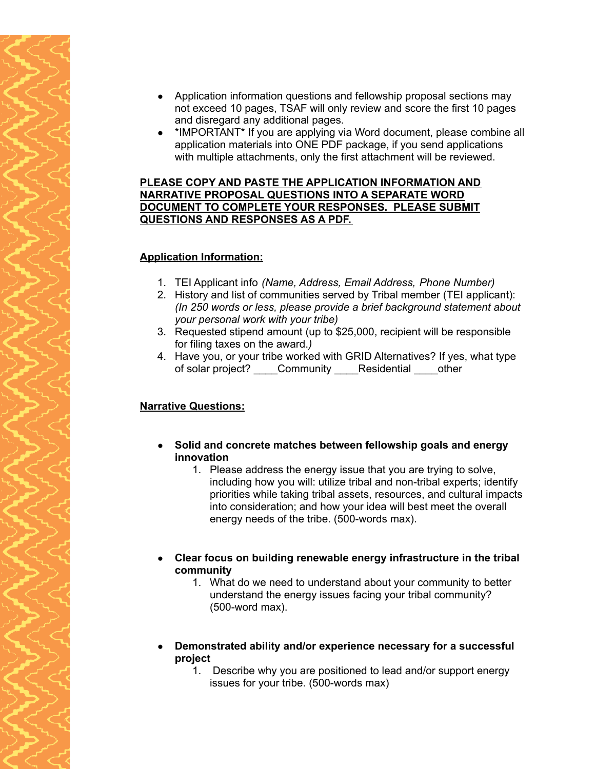- Application information questions and fellowship proposal sections may not exceed 10 pages, TSAF will only review and score the first 10 pages and disregard any additional pages.
- \*IMPORTANT\* If you are applying via Word document, please combine all application materials into ONE PDF package, if you send applications with multiple attachments, only the first attachment will be reviewed.

#### **PLEASE COPY AND PASTE THE APPLICATION INFORMATION AND NARRATIVE PROPOSAL QUESTIONS INTO A SEPARATE WORD DOCUMENT TO COMPLETE YOUR RESPONSES. PLEASE SUBMIT QUESTIONS AND RESPONSES AS A PDF.**

### **Application Information:**

- 1. TEI Applicant info *(Name, Address, Email Address, Phone Number)*
- 2. History and list of communities served by Tribal member (TEI applicant): *(In 250 words or less, please provide a brief background statement about your personal work with your tribe)*
- 3. Requested stipend amount (up to \$25,000, recipient will be responsible for filing taxes on the award.*)*
- 4. Have you, or your tribe worked with GRID Alternatives? If yes, what type of solar project? Community Residential other

## **Narrative Questions:**

- **● Solid and concrete matches between fellowship goals and energy innovation**
	- 1. Please address the energy issue that you are trying to solve, including how you will: utilize tribal and non-tribal experts; identify priorities while taking tribal assets, resources, and cultural impacts into consideration; and how your idea will best meet the overall energy needs of the tribe. (500-words max).
- **Clear focus on building renewable energy infrastructure in the tribal community**
	- 1. What do we need to understand about your community to better understand the energy issues facing your tribal community? (500-word max).
- **● Demonstrated ability and/or experience necessary for a successful project**
	- 1. Describe why you are positioned to lead and/or support energy issues for your tribe. (500-words max)